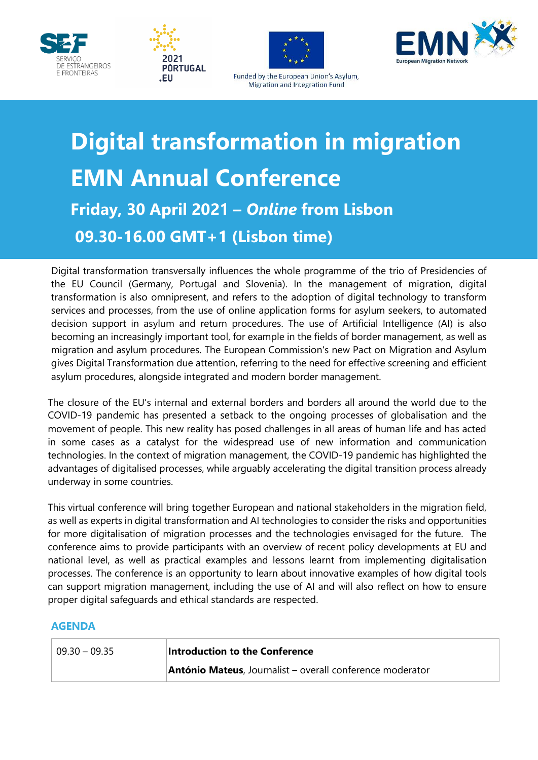







Funded by the European Union's Asylum, Migration and Integration Fund

## **Digital transformation in migration EMN Annual Conference Friday, 30 April 2021 –** *Online* **from Lisbon 09.30-16.00 GMT+1 (Lisbon time)**

the EU Councii (Germany, Portugai and Slovenia). In the management of migration, digital<br>transformation is also omnipresent, and refers to the adoption of digital technology to transform Digital transformation transversally influences the whole programme of the trio of Presidencies of the EU Council (Germany, Portugal and Slovenia). In the management of migration, digital services and processes, from the use of online application forms for asylum seekers, to automated decision support in asylum and return procedures. The use of Artificial Intelligence (AI) is also becoming an increasingly important tool, for example in the fields of border management, as well as migration and asylum procedures. The European Commission's new Pact on Migration and Asylum gives Digital Transformation due attention, referring to the need for effective screening and efficient asylum procedures, alongside integrated and modern border management.

The closure of the EU's internal and external borders and borders all around the world due to the COVID-19 pandemic has presented a setback to the ongoing processes of globalisation and the movement of people. This new reality has posed challenges in all areas of human life and has acted in some cases as a catalyst for the widespread use of new information and communication technologies. In the context of migration management, the COVID-19 pandemic has highlighted the advantages of digitalised processes, while arguably accelerating the digital transition process already underway in some countries.

This virtual conference will bring together European and national stakeholders in the migration field, as well as experts in digital transformation and AI technologies to consider the risks and opportunities for more digitalisation of migration processes and the technologies envisaged for the future. The conference aims to provide participants with an overview of recent policy developments at EU and national level, as well as practical examples and lessons learnt from implementing digitalisation processes. The conference is an opportunity to learn about innovative examples of how digital tools can support migration management, including the use of AI and will also reflect on how to ensure proper digital safeguards and ethical standards are respected.

## **AGENDA**

| $\vert$ 09.30 - 09.35 | Introduction to the Conference                            |
|-----------------------|-----------------------------------------------------------|
|                       | António Mateus, Journalist - overall conference moderator |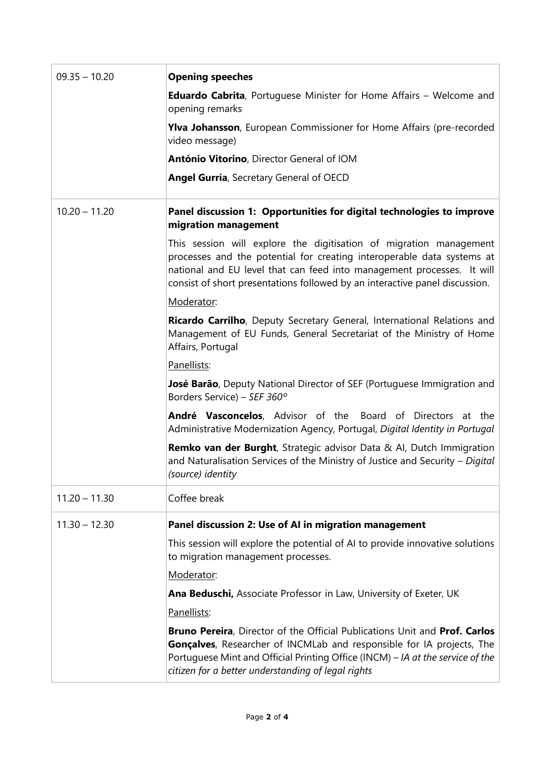| $09.35 - 10.20$ | <b>Opening speeches</b>                                                                                                                                                                                                                                                                                    |
|-----------------|------------------------------------------------------------------------------------------------------------------------------------------------------------------------------------------------------------------------------------------------------------------------------------------------------------|
|                 | <b>Eduardo Cabrita</b> , Portuguese Minister for Home Affairs - Welcome and<br>opening remarks                                                                                                                                                                                                             |
|                 | Ylva Johansson, European Commissioner for Home Affairs (pre-recorded<br>video message)                                                                                                                                                                                                                     |
|                 | António Vitorino, Director General of IOM                                                                                                                                                                                                                                                                  |
|                 | Angel Gurría, Secretary General of OECD                                                                                                                                                                                                                                                                    |
| $10.20 - 11.20$ | Panel discussion 1: Opportunities for digital technologies to improve<br>migration management                                                                                                                                                                                                              |
|                 | This session will explore the digitisation of migration management<br>processes and the potential for creating interoperable data systems at<br>national and EU level that can feed into management processes. It will<br>consist of short presentations followed by an interactive panel discussion.      |
|                 | Moderator:                                                                                                                                                                                                                                                                                                 |
|                 | Ricardo Carrilho, Deputy Secretary General, International Relations and<br>Management of EU Funds, General Secretariat of the Ministry of Home<br>Affairs, Portugal                                                                                                                                        |
|                 | Panellists:                                                                                                                                                                                                                                                                                                |
|                 | José Barão, Deputy National Director of SEF (Portuguese Immigration and<br>Borders Service) - SEF 360°                                                                                                                                                                                                     |
|                 | André Vasconcelos, Advisor of the Board of Directors at the<br>Administrative Modernization Agency, Portugal, Digital Identity in Portugal                                                                                                                                                                 |
|                 | <b>Remko van der Burght</b> , Strategic advisor Data & AI, Dutch Immigration<br>and Naturalisation Services of the Ministry of Justice and Security - Digital<br>(source) identity                                                                                                                         |
| $11.20 - 11.30$ | Coffee break                                                                                                                                                                                                                                                                                               |
| $11.30 - 12.30$ | Panel discussion 2: Use of AI in migration management                                                                                                                                                                                                                                                      |
|                 | This session will explore the potential of AI to provide innovative solutions<br>to migration management processes.                                                                                                                                                                                        |
|                 | Moderator:                                                                                                                                                                                                                                                                                                 |
|                 | Ana Beduschi, Associate Professor in Law, University of Exeter, UK                                                                                                                                                                                                                                         |
|                 | Panellists:                                                                                                                                                                                                                                                                                                |
|                 | <b>Bruno Pereira, Director of the Official Publications Unit and Prof. Carlos</b><br><b>Gonçalves</b> , Researcher of INCMLab and responsible for IA projects, The<br>Portuguese Mint and Official Printing Office (INCM) - IA at the service of the<br>citizen for a better understanding of legal rights |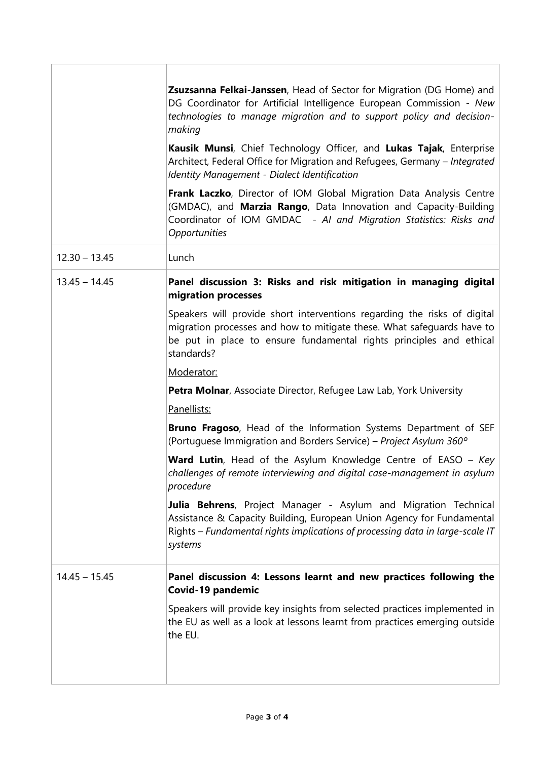|                 | Zsuzsanna Felkai-Janssen, Head of Sector for Migration (DG Home) and<br>DG Coordinator for Artificial Intelligence European Commission - New<br>technologies to manage migration and to support policy and decision-<br>making          |
|-----------------|-----------------------------------------------------------------------------------------------------------------------------------------------------------------------------------------------------------------------------------------|
|                 | Kausik Munsi, Chief Technology Officer, and Lukas Tajak, Enterprise<br>Architect, Federal Office for Migration and Refugees, Germany - Integrated<br><b>Identity Management - Dialect Identification</b>                                |
|                 | Frank Laczko, Director of IOM Global Migration Data Analysis Centre<br>(GMDAC), and Marzia Rango, Data Innovation and Capacity-Building<br>Coordinator of IOM GMDAC - AI and Migration Statistics: Risks and<br>Opportunities           |
| $12.30 - 13.45$ | Lunch                                                                                                                                                                                                                                   |
| $13.45 - 14.45$ | Panel discussion 3: Risks and risk mitigation in managing digital<br>migration processes                                                                                                                                                |
|                 | Speakers will provide short interventions regarding the risks of digital<br>migration processes and how to mitigate these. What safeguards have to<br>be put in place to ensure fundamental rights principles and ethical<br>standards? |
|                 | Moderator:                                                                                                                                                                                                                              |
|                 | Petra Molnar, Associate Director, Refugee Law Lab, York University                                                                                                                                                                      |
|                 | Panellists:                                                                                                                                                                                                                             |
|                 | Bruno Fragoso, Head of the Information Systems Department of SEF<br>(Portuguese Immigration and Borders Service) – Project Asylum 360°                                                                                                  |
|                 | <b>Ward Lutin</b> , Head of the Asylum Knowledge Centre of EASO - Key<br>challenges of remote interviewing and digital case-management in asylum<br>procedure                                                                           |
|                 | Julia Behrens, Project Manager - Asylum and Migration Technical<br>Assistance & Capacity Building, European Union Agency for Fundamental<br>Rights - Fundamental rights implications of processing data in large-scale IT<br>systems    |
| $14.45 - 15.45$ | Panel discussion 4: Lessons learnt and new practices following the<br>Covid-19 pandemic                                                                                                                                                 |
|                 | Speakers will provide key insights from selected practices implemented in<br>the EU as well as a look at lessons learnt from practices emerging outside<br>the EU.                                                                      |
|                 |                                                                                                                                                                                                                                         |